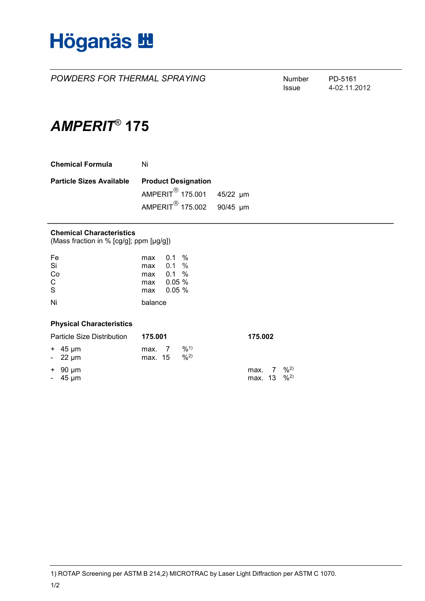

**POWDERS FOR THERMAL SPRAYING** Number PD-5161

Issue 4-02.11.2012

# *AMPERIT*® **175**

| <b>Chemical Formula</b>         | Ni                                    |  |  |
|---------------------------------|---------------------------------------|--|--|
| <b>Particle Sizes Available</b> | <b>Product Designation</b>            |  |  |
|                                 | AMPERIT <sup>®</sup> 175.001 45/22 µm |  |  |
|                                 | AMPERIT <sup>®</sup> 175.002 90/45 µm |  |  |

## **Chemical Characteristics**

(Mass fraction in % [cg/g]; ppm [µg/g])

| Fe                      | max 0.1 | $\frac{0}{2}$ |
|-------------------------|---------|---------------|
| Si                      | max     | $\%$<br>0.1   |
| Co                      |         | max 0.1 %     |
| $\mathsf{C}$            | max     | $0.05\%$      |
| $\overline{\mathbf{s}}$ |         | max 0.05 %    |
| Ni                      | balance |               |

### **Physical Characteristics**

| Particle Size Distribution    | 175.001           |            | 175.002                                           |  |
|-------------------------------|-------------------|------------|---------------------------------------------------|--|
| $+$ 45 µm<br>$-22 \mu m$      | max. 7<br>max. 15 | 9/1<br>9/2 |                                                   |  |
| $+$ 90 $\mu$ m<br>$-45 \mu m$ |                   |            | max. 7 % <sup>2)</sup><br>max. 13 % <sup>2)</sup> |  |

**\_\_\_\_\_\_\_\_\_\_\_\_\_\_\_\_\_\_\_\_\_\_\_\_\_\_\_\_\_\_\_\_\_\_\_\_\_\_\_\_\_\_\_\_\_\_\_\_\_\_\_\_\_\_\_\_\_\_\_\_\_\_\_\_\_\_\_\_\_\_\_\_\_\_\_\_\_\_\_\_\_\_\_\_\_\_\_\_**